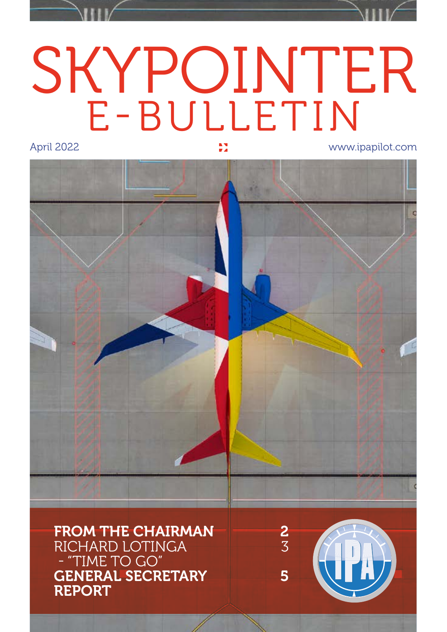# SKYPOINTER E-BULLETIN

April 2022 www.ipapilot.com

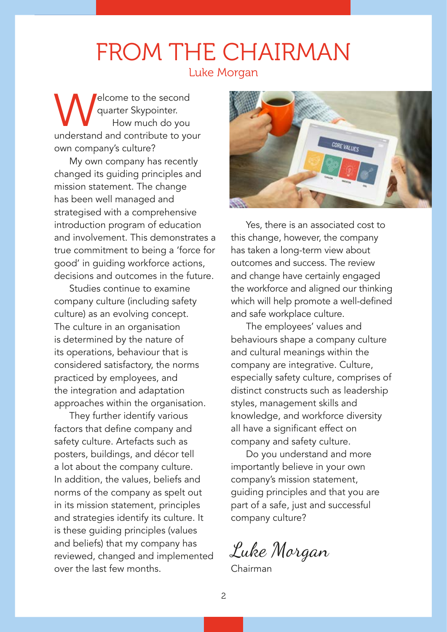#### FROM THE CHAIRMAN Luke Morgan

**Welcome to the second<br>
How much do you<br>
understand and contribute to your** quarter Skypointer. How much do you own company's culture?

My own company has recently changed its guiding principles and mission statement. The change has been well managed and strategised with a comprehensive introduction program of education and involvement. This demonstrates a true commitment to being a 'force for good' in guiding workforce actions, decisions and outcomes in the future.

Studies continue to examine company culture (including safety culture) as an evolving concept. The culture in an organisation is determined by the nature of its operations, behaviour that is considered satisfactory, the norms practiced by employees, and the integration and adaptation approaches within the organisation.

They further identify various factors that define company and safety culture. Artefacts such as posters, buildings, and décor tell a lot about the company culture. In addition, the values, beliefs and norms of the company as spelt out in its mission statement, principles and strategies identify its culture. It is these guiding principles (values and beliefs) that my company has reviewed, changed and implemented over the last few months.



Yes, there is an associated cost to this change, however, the company has taken a long-term view about outcomes and success. The review and change have certainly engaged the workforce and aligned our thinking which will help promote a well-defined and safe workplace culture.

The employees' values and behaviours shape a company culture and cultural meanings within the company are integrative. Culture, especially safety culture, comprises of distinct constructs such as leadership styles, management skills and knowledge, and workforce diversity all have a significant effect on company and safety culture.

Do you understand and more importantly believe in your own company's mission statement, guiding principles and that you are part of a safe, just and successful company culture?

Luke Morgan

Chairman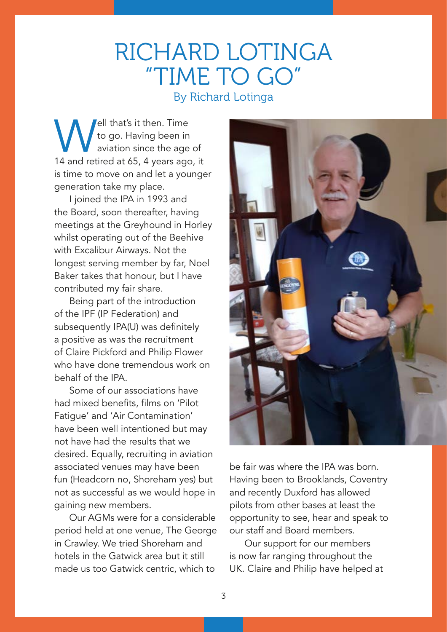#### RICHARD LOTINGA "TIME TO GO" By Richard Lotinga

Well that's it then. Time<br>to go. Having been in<br>14 and retired at 65, 4 years ago to go. Having been in aviation since the age of 14 and retired at 65, 4 years ago, it is time to move on and let a younger generation take my place.

I joined the IPA in 1993 and the Board, soon thereafter, having meetings at the Greyhound in Horley whilst operating out of the Beehive with Excalibur Airways. Not the longest serving member by far, Noel Baker takes that honour, but I have contributed my fair share.

Being part of the introduction of the IPF (IP Federation) and subsequently IPA(U) was definitely a positive as was the recruitment of Claire Pickford and Philip Flower who have done tremendous work on behalf of the IPA.

Some of our associations have had mixed benefits, films on 'Pilot Fatigue' and 'Air Contamination' have been well intentioned but may not have had the results that we desired. Equally, recruiting in aviation associated venues may have been fun (Headcorn no, Shoreham yes) but not as successful as we would hope in gaining new members.

Our AGMs were for a considerable period held at one venue, The George in Crawley. We tried Shoreham and hotels in the Gatwick area but it still made us too Gatwick centric, which to



be fair was where the IPA was born. Having been to Brooklands, Coventry and recently Duxford has allowed pilots from other bases at least the opportunity to see, hear and speak to our staff and Board members.

Our support for our members is now far ranging throughout the UK. Claire and Philip have helped at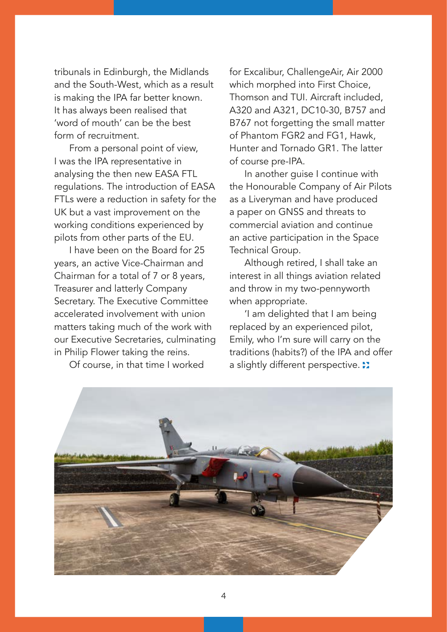tribunals in Edinburgh, the Midlands and the South-West, which as a result is making the IPA far better known. It has always been realised that 'word of mouth' can be the best form of recruitment.

From a personal point of view, I was the IPA representative in analysing the then new EASA FTL regulations. The introduction of EASA FTLs were a reduction in safety for the UK but a vast improvement on the working conditions experienced by pilots from other parts of the EU.

I have been on the Board for 25 years, an active Vice-Chairman and Chairman for a total of 7 or 8 years, Treasurer and latterly Company Secretary. The Executive Committee accelerated involvement with union matters taking much of the work with our Executive Secretaries, culminating in Philip Flower taking the reins.

Of course, in that time I worked

for Excalibur, ChallengeAir, Air 2000 which morphed into First Choice, Thomson and TUI. Aircraft included, A320 and A321, DC10-30, B757 and B767 not forgetting the small matter of Phantom FGR2 and FG1, Hawk, Hunter and Tornado GR1. The latter of course pre-IPA.

In another guise I continue with the Honourable Company of Air Pilots as a Liveryman and have produced a paper on GNSS and threats to commercial aviation and continue an active participation in the Space Technical Group.

Although retired, I shall take an interest in all things aviation related and throw in my two-pennyworth when appropriate.

'I am delighted that I am being replaced by an experienced pilot, Emily, who I'm sure will carry on the traditions (habits?) of the IPA and offer a slightly different perspective.  $\ddot{\cdot}$ 

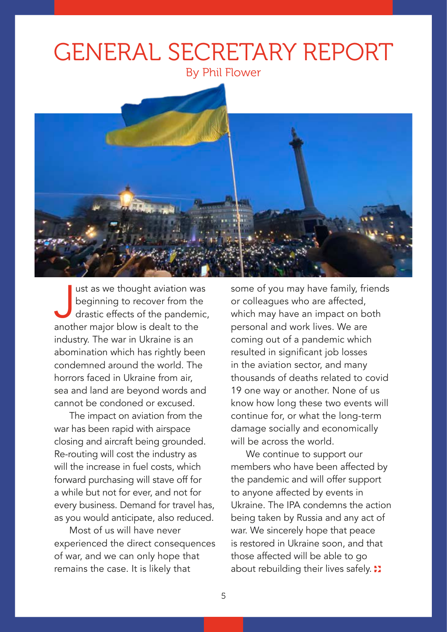## GENERAL SECRETARY REPORT

By Phil Flower



ust as we thought aviation wa<br>beginning to recover from the<br>drastic effects of the pandemi<br>another major blow is dealt to the ust as we thought aviation was beginning to recover from the drastic effects of the pandemic, industry. The war in Ukraine is an abomination which has rightly been condemned around the world. The horrors faced in Ukraine from air, sea and land are beyond words and cannot be condoned or excused.

The impact on aviation from the war has been rapid with airspace closing and aircraft being grounded. Re-routing will cost the industry as will the increase in fuel costs, which forward purchasing will stave off for a while but not for ever, and not for every business. Demand for travel has, as you would anticipate, also reduced.

Most of us will have never experienced the direct consequences of war, and we can only hope that remains the case. It is likely that

some of you may have family, friends or colleagues who are affected, which may have an impact on both personal and work lives. We are coming out of a pandemic which resulted in significant job losses in the aviation sector, and many thousands of deaths related to covid 19 one way or another. None of us know how long these two events will continue for, or what the long-term damage socially and economically will be across the world.

We continue to support our members who have been affected by the pandemic and will offer support to anyone affected by events in Ukraine. The IPA condemns the action being taken by Russia and any act of war. We sincerely hope that peace is restored in Ukraine soon, and that those affected will be able to go about rebuilding their lives safely. :